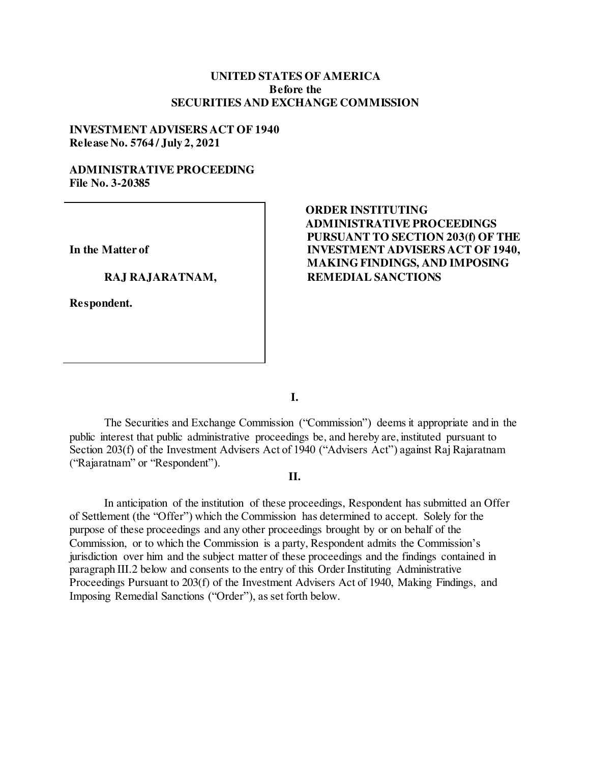## **UNITED STATES OF AMERICA Before the SECURITIES AND EXCHANGE COMMISSION**

### **INVESTMENT ADVISERS ACT OF 1940 Release No. 5764 / July 2, 2021**

## **ADMINISTRATIVE PROCEEDING File No. 3-20385**

**In the Matter of** 

#### **RAJ RAJARATNAM,**

**Respondent.** 

# **ORDER INSTITUTING ADMINISTRATIVE PROCEEDINGS PURSUANT TO SECTION 203(f) OF THE INVESTMENT ADVISERS ACT OF 1940, MAKING FINDINGS, AND IMPOSING REMEDIAL SANCTIONS**

**I.**

The Securities and Exchange Commission ("Commission") deems it appropriate and in the public interest that public administrative proceedings be, and hereby are, instituted pursuant to Section 203(f) of the Investment Advisers Act of 1940 ("Advisers Act") against Raj Rajaratnam ("Rajaratnam" or "Respondent").

## **II.**

 In anticipation of the institution of these proceedings, Respondent has submitted an Offer of Settlement (the "Offer") which the Commission has determined to accept. Solely for the purpose of these proceedings and any other proceedings brought by or on behalf of the Commission, or to which the Commission is a party, Respondent admits the Commission's jurisdiction over him and the subject matter of these proceedings and the findings contained in paragraph III.2 below and consents to the entry of this Order Instituting Administrative Proceedings Pursuant to 203(f) of the Investment Advisers Act of 1940, Making Findings, and Imposing Remedial Sanctions ("Order"), as set forth below.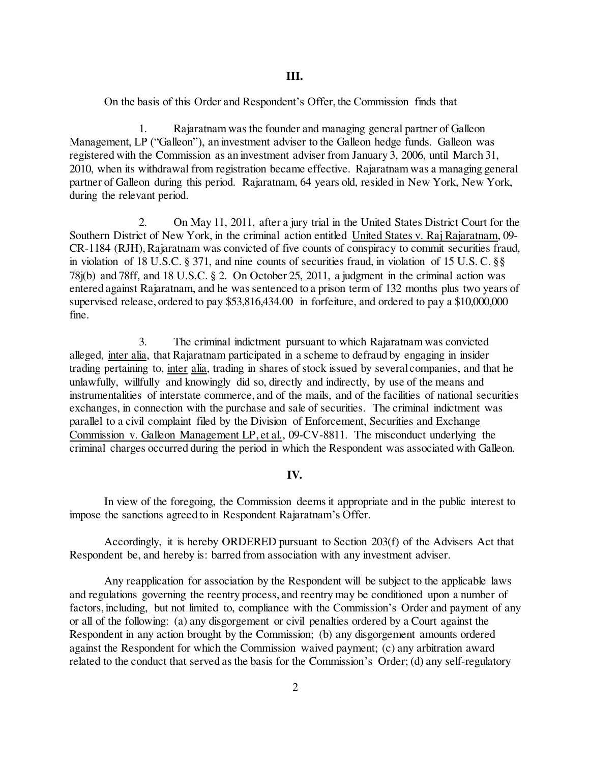On the basis of this Order and Respondent's Offer, the Commission finds that

1. Rajaratnam was the founder and managing general partner of Galleon Management, LP ("Galleon"), an investment adviser to the Galleon hedge funds. Galleon was registered with the Commission as an investment adviser from January 3, 2006, until March 31, 2010, when its withdrawal from registration became effective. Rajaratnam was a managing general partner of Galleon during this period. Rajaratnam, 64 years old, resided in New York, New York, during the relevant period.

2. On May 11, 2011, after a jury trial in the United States District Court for the Southern District of New York, in the criminal action entitled United States v. Raj Rajaratnam, 09- CR-1184 (RJH), Rajaratnam was convicted of five counts of conspiracy to commit securities fraud, in violation of 18 U.S.C. § 371, and nine counts of securities fraud, in violation of 15 U.S. C. §§ 78j(b) and 78ff, and 18 U.S.C. § 2. On October 25, 2011, a judgment in the criminal action was entered against Rajaratnam, and he was sentenced to a prison term of 132 months plus two years of supervised release, ordered to pay \$53,816,434.00 in forfeiture, and ordered to pay a \$10,000,000 fine.

3. The criminal indictment pursuant to which Rajaratnam was convicted alleged, inter alia, that Rajaratnam participated in a scheme to defraud by engaging in insider trading pertaining to, inter alia, trading in shares of stock issued by several companies, and that he unlawfully, willfully and knowingly did so, directly and indirectly, by use of the means and instrumentalities of interstate commerce, and of the mails, and of the facilities of national securities exchanges, in connection with the purchase and sale of securities. The criminal indictment was parallel to a civil complaint filed by the Division of Enforcement, Securities and Exchange Commission v. Galleon Management LP, et al., 09-CV-8811. The misconduct underlying the criminal charges occurred during the period in which the Respondent was associated with Galleon.

#### **IV.**

In view of the foregoing, the Commission deems it appropriate and in the public interest to impose the sanctions agreed to in Respondent Rajaratnam's Offer.

 Accordingly, it is hereby ORDERED pursuant to Section 203(f) of the Advisers Act that Respondent be, and hereby is: barred from association with any investment adviser.

Any reapplication for association by the Respondent will be subject to the applicable laws and regulations governing the reentry process, and reentry may be conditioned upon a number of factors, including, but not limited to, compliance with the Commission's Order and payment of any or all of the following: (a) any disgorgement or civil penalties ordered by a Court against the Respondent in any action brought by the Commission; (b) any disgorgement amounts ordered against the Respondent for which the Commission waived payment; (c) any arbitration award related to the conduct that served as the basis for the Commission's Order; (d) any self-regulatory